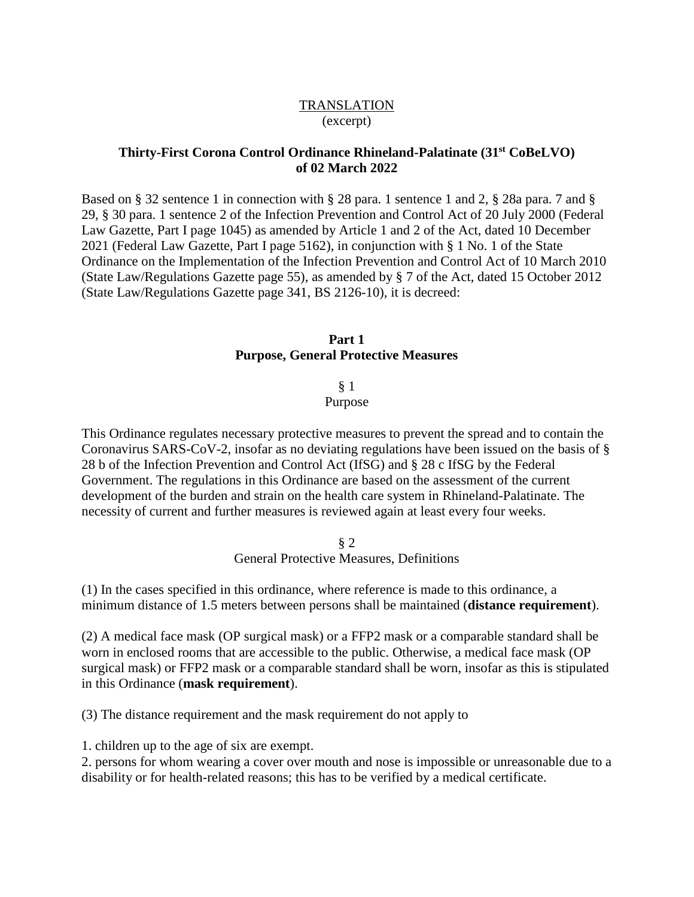# **TRANSLATION** (excerpt)

# **Thirty-First Corona Control Ordinance Rhineland-Palatinate (31st CoBeLVO) of 02 March 2022**

Based on § 32 sentence 1 in connection with § 28 para. 1 sentence 1 and 2, § 28a para. 7 and § 29, § 30 para. 1 sentence 2 of the Infection Prevention and Control Act of 20 July 2000 (Federal Law Gazette, Part I page 1045) as amended by Article 1 and 2 of the Act, dated 10 December 2021 (Federal Law Gazette, Part I page 5162), in conjunction with § 1 No. 1 of the State Ordinance on the Implementation of the Infection Prevention and Control Act of 10 March 2010 (State Law/Regulations Gazette page 55), as amended by § 7 of the Act, dated 15 October 2012 (State Law/Regulations Gazette page 341, BS 2126-10), it is decreed:

# **Part 1 Purpose, General Protective Measures**

§ 1

Purpose

This Ordinance regulates necessary protective measures to prevent the spread and to contain the Coronavirus SARS-CoV-2, insofar as no deviating regulations have been issued on the basis of § 28 b of the Infection Prevention and Control Act (IfSG) and § 28 c IfSG by the Federal Government. The regulations in this Ordinance are based on the assessment of the current development of the burden and strain on the health care system in Rhineland-Palatinate. The necessity of current and further measures is reviewed again at least every four weeks.

> § 2 General Protective Measures, Definitions

(1) In the cases specified in this ordinance, where reference is made to this ordinance, a minimum distance of 1.5 meters between persons shall be maintained (**distance requirement**).

(2) A medical face mask (OP surgical mask) or a FFP2 mask or a comparable standard shall be worn in enclosed rooms that are accessible to the public. Otherwise, a medical face mask (OP surgical mask) or FFP2 mask or a comparable standard shall be worn, insofar as this is stipulated in this Ordinance (**mask requirement**).

(3) The distance requirement and the mask requirement do not apply to

1. children up to the age of six are exempt.

2. persons for whom wearing a cover over mouth and nose is impossible or unreasonable due to a disability or for health-related reasons; this has to be verified by a medical certificate.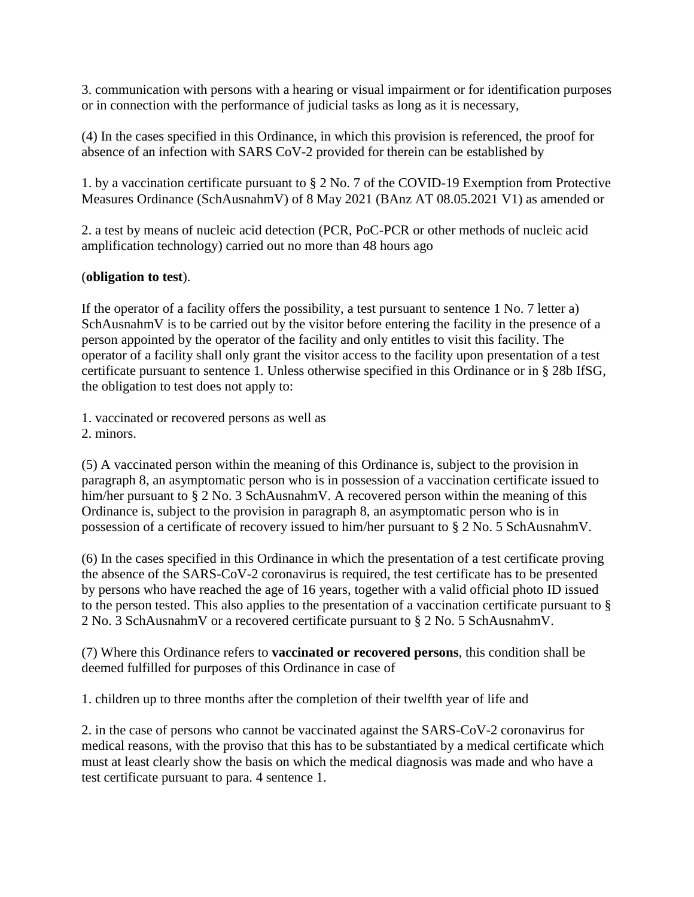3. communication with persons with a hearing or visual impairment or for identification purposes or in connection with the performance of judicial tasks as long as it is necessary,

(4) In the cases specified in this Ordinance, in which this provision is referenced, the proof for absence of an infection with SARS CoV-2 provided for therein can be established by

1. by a vaccination certificate pursuant to § 2 No. 7 of the COVID-19 Exemption from Protective Measures Ordinance (SchAusnahmV) of 8 May 2021 (BAnz AT 08.05.2021 V1) as amended or

2. a test by means of nucleic acid detection (PCR, PoC-PCR or other methods of nucleic acid amplification technology) carried out no more than 48 hours ago

# (**obligation to test**).

If the operator of a facility offers the possibility, a test pursuant to sentence 1 No. 7 letter a) SchAusnahmV is to be carried out by the visitor before entering the facility in the presence of a person appointed by the operator of the facility and only entitles to visit this facility. The operator of a facility shall only grant the visitor access to the facility upon presentation of a test certificate pursuant to sentence 1. Unless otherwise specified in this Ordinance or in § 28b IfSG, the obligation to test does not apply to:

1. vaccinated or recovered persons as well as

2. minors.

(5) A vaccinated person within the meaning of this Ordinance is, subject to the provision in paragraph 8, an asymptomatic person who is in possession of a vaccination certificate issued to him/her pursuant to § 2 No. 3 SchAusnahmV. A recovered person within the meaning of this Ordinance is, subject to the provision in paragraph 8, an asymptomatic person who is in possession of a certificate of recovery issued to him/her pursuant to § 2 No. 5 SchAusnahmV.

(6) In the cases specified in this Ordinance in which the presentation of a test certificate proving the absence of the SARS-CoV-2 coronavirus is required, the test certificate has to be presented by persons who have reached the age of 16 years, together with a valid official photo ID issued to the person tested. This also applies to the presentation of a vaccination certificate pursuant to § 2 No. 3 SchAusnahmV or a recovered certificate pursuant to § 2 No. 5 SchAusnahmV.

(7) Where this Ordinance refers to **vaccinated or recovered persons**, this condition shall be deemed fulfilled for purposes of this Ordinance in case of

1. children up to three months after the completion of their twelfth year of life and

2. in the case of persons who cannot be vaccinated against the SARS-CoV-2 coronavirus for medical reasons, with the proviso that this has to be substantiated by a medical certificate which must at least clearly show the basis on which the medical diagnosis was made and who have a test certificate pursuant to para. 4 sentence 1.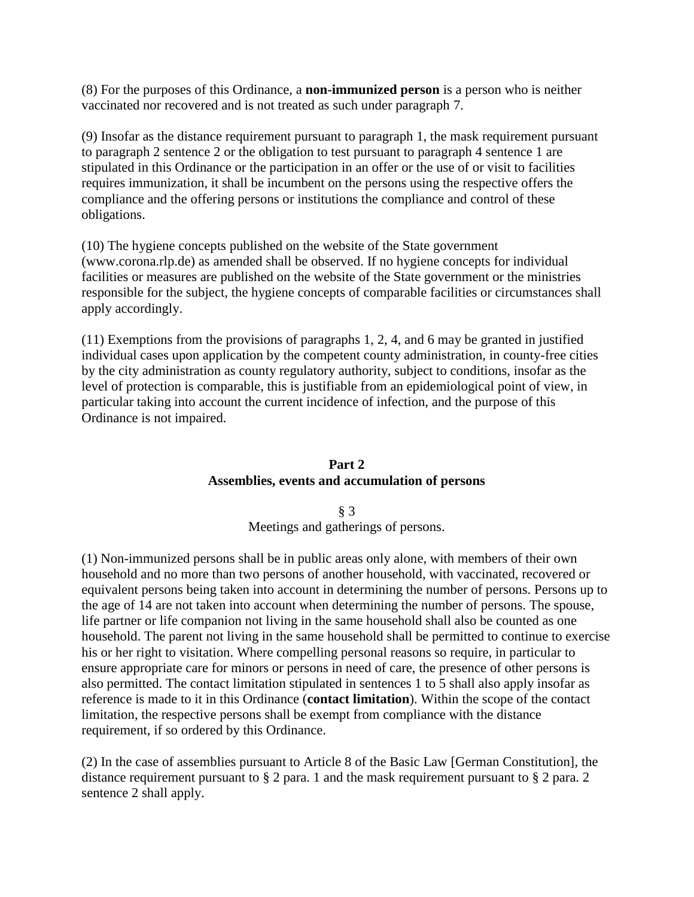(8) For the purposes of this Ordinance, a **non-immunized person** is a person who is neither vaccinated nor recovered and is not treated as such under paragraph 7.

(9) Insofar as the distance requirement pursuant to paragraph 1, the mask requirement pursuant to paragraph 2 sentence 2 or the obligation to test pursuant to paragraph 4 sentence 1 are stipulated in this Ordinance or the participation in an offer or the use of or visit to facilities requires immunization, it shall be incumbent on the persons using the respective offers the compliance and the offering persons or institutions the compliance and control of these obligations.

(10) The hygiene concepts published on the website of the State government (www.corona.rlp.de) as amended shall be observed. If no hygiene concepts for individual facilities or measures are published on the website of the State government or the ministries responsible for the subject, the hygiene concepts of comparable facilities or circumstances shall apply accordingly.

(11) Exemptions from the provisions of paragraphs 1, 2, 4, and 6 may be granted in justified individual cases upon application by the competent county administration, in county-free cities by the city administration as county regulatory authority, subject to conditions, insofar as the level of protection is comparable, this is justifiable from an epidemiological point of view, in particular taking into account the current incidence of infection, and the purpose of this Ordinance is not impaired.

# **Part 2 Assemblies, events and accumulation of persons**

§ 3 Meetings and gatherings of persons.

(1) Non-immunized persons shall be in public areas only alone, with members of their own household and no more than two persons of another household, with vaccinated, recovered or equivalent persons being taken into account in determining the number of persons. Persons up to the age of 14 are not taken into account when determining the number of persons. The spouse, life partner or life companion not living in the same household shall also be counted as one household. The parent not living in the same household shall be permitted to continue to exercise his or her right to visitation. Where compelling personal reasons so require, in particular to ensure appropriate care for minors or persons in need of care, the presence of other persons is also permitted. The contact limitation stipulated in sentences 1 to 5 shall also apply insofar as reference is made to it in this Ordinance (**contact limitation**). Within the scope of the contact limitation, the respective persons shall be exempt from compliance with the distance requirement, if so ordered by this Ordinance.

(2) In the case of assemblies pursuant to Article 8 of the Basic Law [German Constitution], the distance requirement pursuant to § 2 para. 1 and the mask requirement pursuant to § 2 para. 2 sentence 2 shall apply.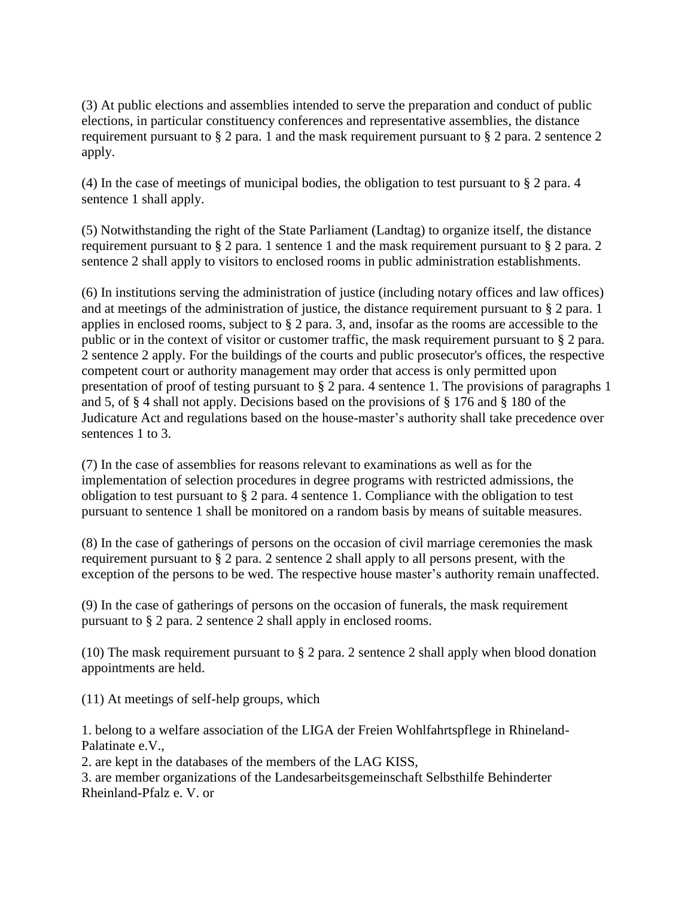(3) At public elections and assemblies intended to serve the preparation and conduct of public elections, in particular constituency conferences and representative assemblies, the distance requirement pursuant to § 2 para. 1 and the mask requirement pursuant to § 2 para. 2 sentence 2 apply.

(4) In the case of meetings of municipal bodies, the obligation to test pursuant to § 2 para. 4 sentence 1 shall apply.

(5) Notwithstanding the right of the State Parliament (Landtag) to organize itself, the distance requirement pursuant to § 2 para. 1 sentence 1 and the mask requirement pursuant to § 2 para. 2 sentence 2 shall apply to visitors to enclosed rooms in public administration establishments.

(6) In institutions serving the administration of justice (including notary offices and law offices) and at meetings of the administration of justice, the distance requirement pursuant to § 2 para. 1 applies in enclosed rooms, subject to § 2 para. 3, and, insofar as the rooms are accessible to the public or in the context of visitor or customer traffic, the mask requirement pursuant to § 2 para. 2 sentence 2 apply. For the buildings of the courts and public prosecutor's offices, the respective competent court or authority management may order that access is only permitted upon presentation of proof of testing pursuant to § 2 para. 4 sentence 1. The provisions of paragraphs 1 and 5, of § 4 shall not apply. Decisions based on the provisions of § 176 and § 180 of the Judicature Act and regulations based on the house-master's authority shall take precedence over sentences 1 to 3.

(7) In the case of assemblies for reasons relevant to examinations as well as for the implementation of selection procedures in degree programs with restricted admissions, the obligation to test pursuant to § 2 para. 4 sentence 1. Compliance with the obligation to test pursuant to sentence 1 shall be monitored on a random basis by means of suitable measures.

(8) In the case of gatherings of persons on the occasion of civil marriage ceremonies the mask requirement pursuant to § 2 para. 2 sentence 2 shall apply to all persons present, with the exception of the persons to be wed. The respective house master's authority remain unaffected.

(9) In the case of gatherings of persons on the occasion of funerals, the mask requirement pursuant to § 2 para. 2 sentence 2 shall apply in enclosed rooms.

(10) The mask requirement pursuant to § 2 para. 2 sentence 2 shall apply when blood donation appointments are held.

(11) At meetings of self-help groups, which

1. belong to a welfare association of the LIGA der Freien Wohlfahrtspflege in Rhineland-Palatinate e.V.,

2. are kept in the databases of the members of the LAG KISS,

3. are member organizations of the Landesarbeitsgemeinschaft Selbsthilfe Behinderter Rheinland-Pfalz e. V. or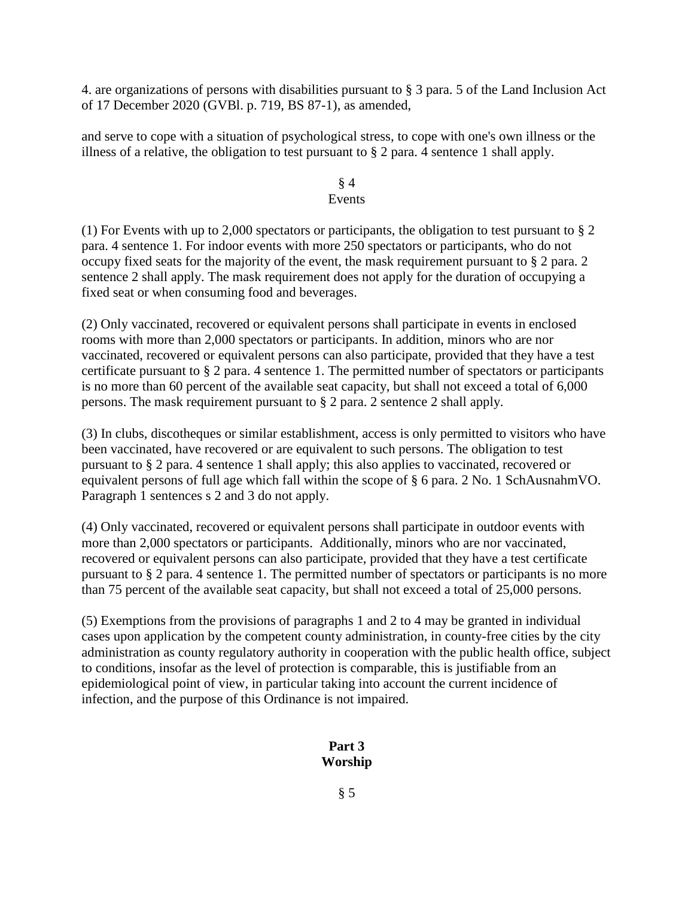4. are organizations of persons with disabilities pursuant to § 3 para. 5 of the Land Inclusion Act of 17 December 2020 (GVBl. p. 719, BS 87-1), as amended,

and serve to cope with a situation of psychological stress, to cope with one's own illness or the illness of a relative, the obligation to test pursuant to § 2 para. 4 sentence 1 shall apply.

#### § 4 Events

(1) For Events with up to 2,000 spectators or participants, the obligation to test pursuant to § 2 para. 4 sentence 1. For indoor events with more 250 spectators or participants, who do not occupy fixed seats for the majority of the event, the mask requirement pursuant to § 2 para. 2 sentence 2 shall apply. The mask requirement does not apply for the duration of occupying a fixed seat or when consuming food and beverages.

(2) Only vaccinated, recovered or equivalent persons shall participate in events in enclosed rooms with more than 2,000 spectators or participants. In addition, minors who are nor vaccinated, recovered or equivalent persons can also participate, provided that they have a test certificate pursuant to § 2 para. 4 sentence 1. The permitted number of spectators or participants is no more than 60 percent of the available seat capacity, but shall not exceed a total of 6,000 persons. The mask requirement pursuant to § 2 para. 2 sentence 2 shall apply.

(3) In clubs, discotheques or similar establishment, access is only permitted to visitors who have been vaccinated, have recovered or are equivalent to such persons. The obligation to test pursuant to § 2 para. 4 sentence 1 shall apply; this also applies to vaccinated, recovered or equivalent persons of full age which fall within the scope of § 6 para. 2 No. 1 SchAusnahmVO. Paragraph 1 sentences s 2 and 3 do not apply.

(4) Only vaccinated, recovered or equivalent persons shall participate in outdoor events with more than 2,000 spectators or participants. Additionally, minors who are nor vaccinated, recovered or equivalent persons can also participate, provided that they have a test certificate pursuant to § 2 para. 4 sentence 1. The permitted number of spectators or participants is no more than 75 percent of the available seat capacity, but shall not exceed a total of 25,000 persons.

(5) Exemptions from the provisions of paragraphs 1 and 2 to 4 may be granted in individual cases upon application by the competent county administration, in county-free cities by the city administration as county regulatory authority in cooperation with the public health office, subject to conditions, insofar as the level of protection is comparable, this is justifiable from an epidemiological point of view, in particular taking into account the current incidence of infection, and the purpose of this Ordinance is not impaired.

# **Part 3 Worship**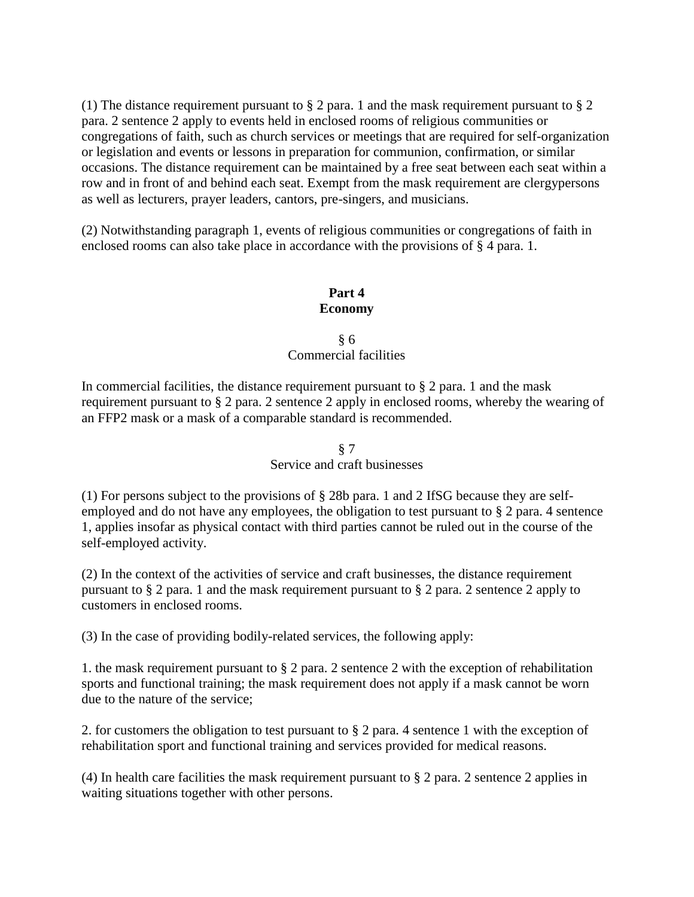(1) The distance requirement pursuant to § 2 para. 1 and the mask requirement pursuant to § 2 para. 2 sentence 2 apply to events held in enclosed rooms of religious communities or congregations of faith, such as church services or meetings that are required for self-organization or legislation and events or lessons in preparation for communion, confirmation, or similar occasions. The distance requirement can be maintained by a free seat between each seat within a row and in front of and behind each seat. Exempt from the mask requirement are clergypersons as well as lecturers, prayer leaders, cantors, pre-singers, and musicians.

(2) Notwithstanding paragraph 1, events of religious communities or congregations of faith in enclosed rooms can also take place in accordance with the provisions of § 4 para. 1.

# **Part 4 Economy**

§ 6 Commercial facilities

In commercial facilities, the distance requirement pursuant to  $\S 2$  para. 1 and the mask requirement pursuant to § 2 para. 2 sentence 2 apply in enclosed rooms, whereby the wearing of an FFP2 mask or a mask of a comparable standard is recommended.

# § 7 Service and craft businesses

(1) For persons subject to the provisions of § 28b para. 1 and 2 IfSG because they are selfemployed and do not have any employees, the obligation to test pursuant to § 2 para. 4 sentence 1, applies insofar as physical contact with third parties cannot be ruled out in the course of the self-employed activity.

(2) In the context of the activities of service and craft businesses, the distance requirement pursuant to § 2 para. 1 and the mask requirement pursuant to § 2 para. 2 sentence 2 apply to customers in enclosed rooms.

(3) In the case of providing bodily-related services, the following apply:

1. the mask requirement pursuant to § 2 para. 2 sentence 2 with the exception of rehabilitation sports and functional training; the mask requirement does not apply if a mask cannot be worn due to the nature of the service;

2. for customers the obligation to test pursuant to § 2 para. 4 sentence 1 with the exception of rehabilitation sport and functional training and services provided for medical reasons.

(4) In health care facilities the mask requirement pursuant to § 2 para. 2 sentence 2 applies in waiting situations together with other persons.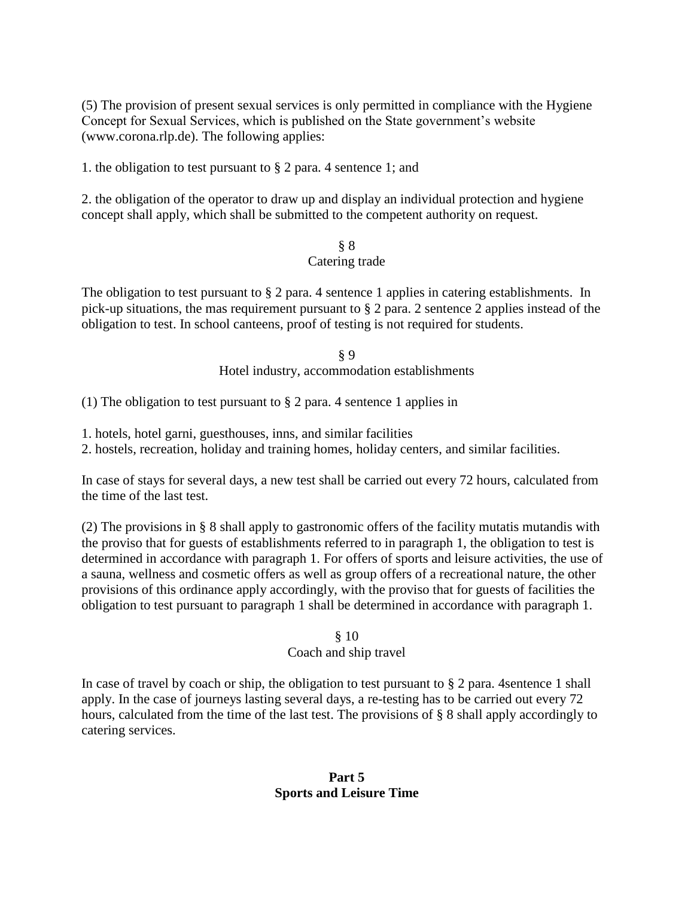(5) The provision of present sexual services is only permitted in compliance with the Hygiene Concept for Sexual Services, which is published on the State government's website (www.corona.rlp.de). The following applies:

1. the obligation to test pursuant to § 2 para. 4 sentence 1; and

2. the obligation of the operator to draw up and display an individual protection and hygiene concept shall apply, which shall be submitted to the competent authority on request.

# § 8 Catering trade

The obligation to test pursuant to  $\S 2$  para. 4 sentence 1 applies in catering establishments. In pick-up situations, the mas requirement pursuant to § 2 para. 2 sentence 2 applies instead of the obligation to test. In school canteens, proof of testing is not required for students.

> § 9 Hotel industry, accommodation establishments

(1) The obligation to test pursuant to § 2 para. 4 sentence 1 applies in

1. hotels, hotel garni, guesthouses, inns, and similar facilities

2. hostels, recreation, holiday and training homes, holiday centers, and similar facilities.

In case of stays for several days, a new test shall be carried out every 72 hours, calculated from the time of the last test.

(2) The provisions in § 8 shall apply to gastronomic offers of the facility mutatis mutandis with the proviso that for guests of establishments referred to in paragraph 1, the obligation to test is determined in accordance with paragraph 1. For offers of sports and leisure activities, the use of a sauna, wellness and cosmetic offers as well as group offers of a recreational nature, the other provisions of this ordinance apply accordingly, with the proviso that for guests of facilities the obligation to test pursuant to paragraph 1 shall be determined in accordance with paragraph 1.

# § 10

# Coach and ship travel

In case of travel by coach or ship, the obligation to test pursuant to § 2 para. 4sentence 1 shall apply. In the case of journeys lasting several days, a re-testing has to be carried out every 72 hours, calculated from the time of the last test. The provisions of § 8 shall apply accordingly to catering services.

# **Part 5 Sports and Leisure Time**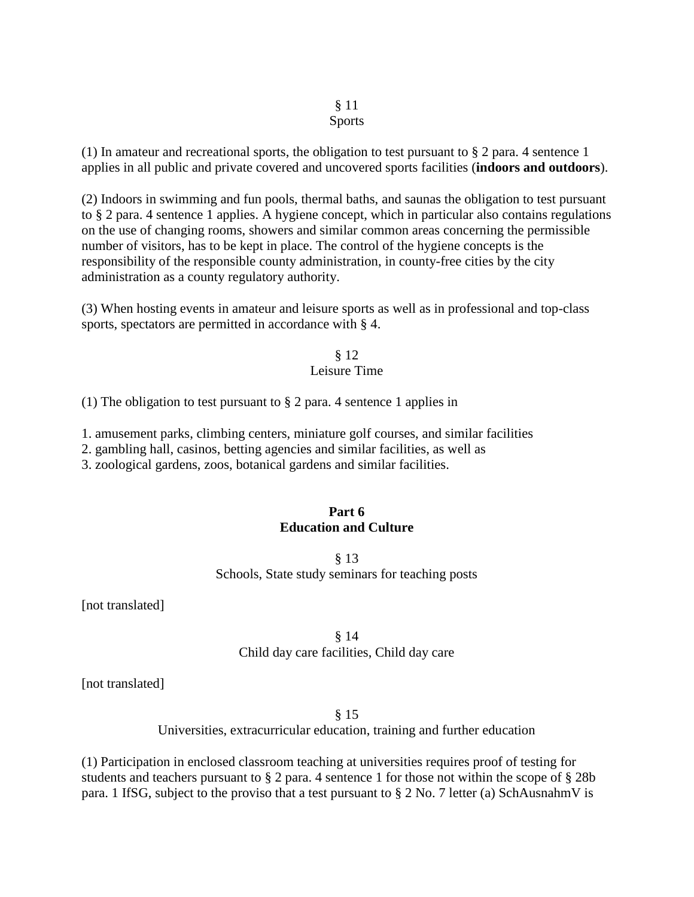# § 11

# Sports

(1) In amateur and recreational sports, the obligation to test pursuant to  $\S 2$  para. 4 sentence 1 applies in all public and private covered and uncovered sports facilities (**indoors and outdoors**).

(2) Indoors in swimming and fun pools, thermal baths, and saunas the obligation to test pursuant to § 2 para. 4 sentence 1 applies. A hygiene concept, which in particular also contains regulations on the use of changing rooms, showers and similar common areas concerning the permissible number of visitors, has to be kept in place. The control of the hygiene concepts is the responsibility of the responsible county administration, in county-free cities by the city administration as a county regulatory authority.

(3) When hosting events in amateur and leisure sports as well as in professional and top-class sports, spectators are permitted in accordance with § 4.

### § 12 Leisure Time

(1) The obligation to test pursuant to § 2 para. 4 sentence 1 applies in

1. amusement parks, climbing centers, miniature golf courses, and similar facilities

2. gambling hall, casinos, betting agencies and similar facilities, as well as

3. zoological gardens, zoos, botanical gardens and similar facilities.

# **Part 6 Education and Culture**

§ 13 Schools, State study seminars for teaching posts

[not translated]

# § 14 Child day care facilities, Child day care

[not translated]

§ 15

Universities, extracurricular education, training and further education

(1) Participation in enclosed classroom teaching at universities requires proof of testing for students and teachers pursuant to § 2 para. 4 sentence 1 for those not within the scope of § 28b para. 1 IfSG, subject to the proviso that a test pursuant to § 2 No. 7 letter (a) SchAusnahmV is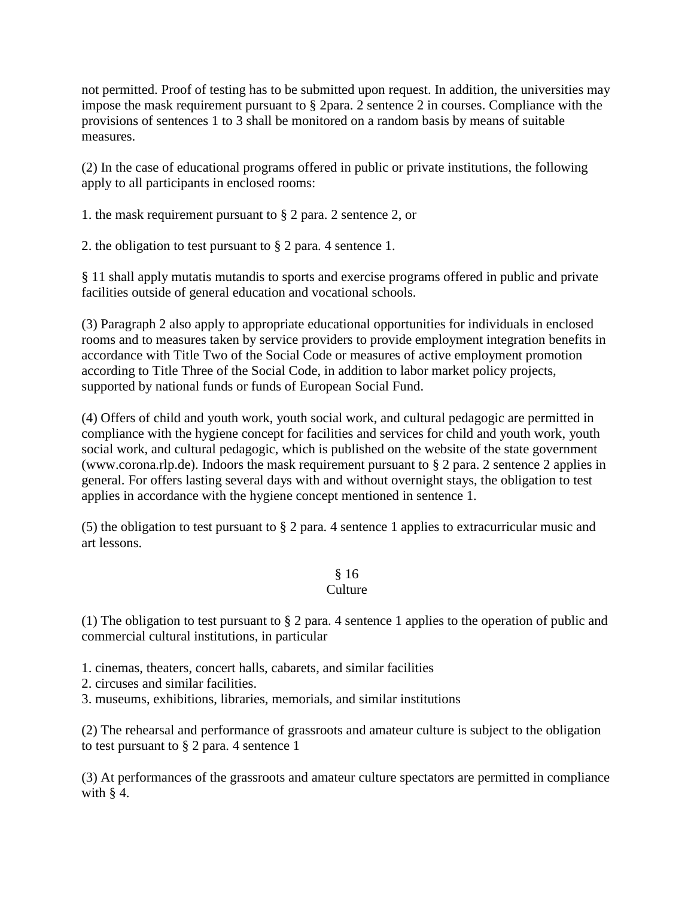not permitted. Proof of testing has to be submitted upon request. In addition, the universities may impose the mask requirement pursuant to § 2para. 2 sentence 2 in courses. Compliance with the provisions of sentences 1 to 3 shall be monitored on a random basis by means of suitable measures.

(2) In the case of educational programs offered in public or private institutions, the following apply to all participants in enclosed rooms:

1. the mask requirement pursuant to § 2 para. 2 sentence 2, or

2. the obligation to test pursuant to § 2 para. 4 sentence 1.

§ 11 shall apply mutatis mutandis to sports and exercise programs offered in public and private facilities outside of general education and vocational schools.

(3) Paragraph 2 also apply to appropriate educational opportunities for individuals in enclosed rooms and to measures taken by service providers to provide employment integration benefits in accordance with Title Two of the Social Code or measures of active employment promotion according to Title Three of the Social Code, in addition to labor market policy projects, supported by national funds or funds of European Social Fund.

(4) Offers of child and youth work, youth social work, and cultural pedagogic are permitted in compliance with the hygiene concept for facilities and services for child and youth work, youth social work, and cultural pedagogic, which is published on the website of the state government (www.corona.rlp.de). Indoors the mask requirement pursuant to § 2 para. 2 sentence 2 applies in general. For offers lasting several days with and without overnight stays, the obligation to test applies in accordance with the hygiene concept mentioned in sentence 1.

(5) the obligation to test pursuant to § 2 para. 4 sentence 1 applies to extracurricular music and art lessons.

#### § 16 Culture

# (1) The obligation to test pursuant to § 2 para. 4 sentence 1 applies to the operation of public and commercial cultural institutions, in particular

- 1. cinemas, theaters, concert halls, cabarets, and similar facilities
- 2. circuses and similar facilities.
- 3. museums, exhibitions, libraries, memorials, and similar institutions

(2) The rehearsal and performance of grassroots and amateur culture is subject to the obligation to test pursuant to § 2 para. 4 sentence 1

(3) At performances of the grassroots and amateur culture spectators are permitted in compliance with  $§$  4.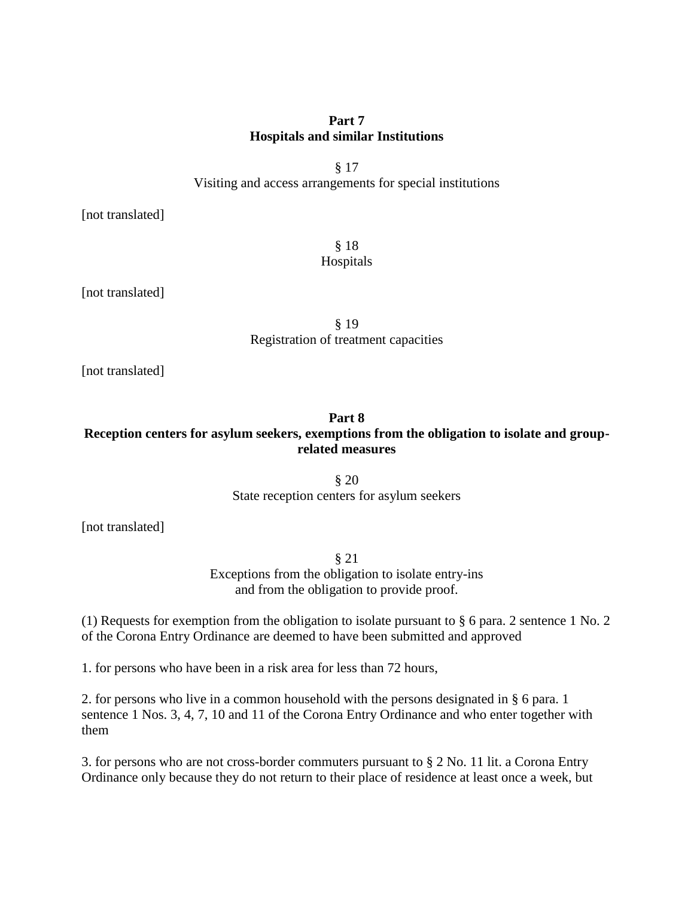# **Part 7 Hospitals and similar Institutions**

§ 17 Visiting and access arrangements for special institutions

[not translated]

§ 18 Hospitals

[not translated]

§ 19 Registration of treatment capacities

[not translated]

# **Part 8 Reception centers for asylum seekers, exemptions from the obligation to isolate and grouprelated measures**

§ 20 State reception centers for asylum seekers

[not translated]

§ 21 Exceptions from the obligation to isolate entry-ins and from the obligation to provide proof.

(1) Requests for exemption from the obligation to isolate pursuant to § 6 para. 2 sentence 1 No. 2 of the Corona Entry Ordinance are deemed to have been submitted and approved

1. for persons who have been in a risk area for less than 72 hours,

2. for persons who live in a common household with the persons designated in § 6 para. 1 sentence 1 Nos. 3, 4, 7, 10 and 11 of the Corona Entry Ordinance and who enter together with them

3. for persons who are not cross-border commuters pursuant to § 2 No. 11 lit. a Corona Entry Ordinance only because they do not return to their place of residence at least once a week, but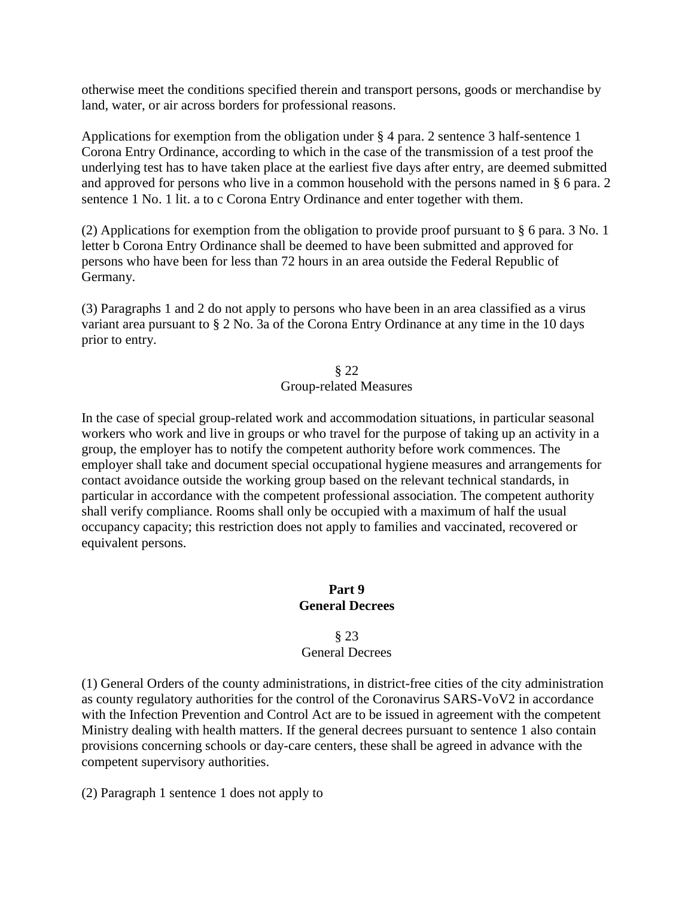otherwise meet the conditions specified therein and transport persons, goods or merchandise by land, water, or air across borders for professional reasons.

Applications for exemption from the obligation under § 4 para. 2 sentence 3 half-sentence 1 Corona Entry Ordinance, according to which in the case of the transmission of a test proof the underlying test has to have taken place at the earliest five days after entry, are deemed submitted and approved for persons who live in a common household with the persons named in § 6 para. 2 sentence 1 No. 1 lit. a to c Corona Entry Ordinance and enter together with them.

(2) Applications for exemption from the obligation to provide proof pursuant to § 6 para. 3 No. 1 letter b Corona Entry Ordinance shall be deemed to have been submitted and approved for persons who have been for less than 72 hours in an area outside the Federal Republic of Germany.

(3) Paragraphs 1 and 2 do not apply to persons who have been in an area classified as a virus variant area pursuant to § 2 No. 3a of the Corona Entry Ordinance at any time in the 10 days prior to entry.

> § 22 Group-related Measures

In the case of special group-related work and accommodation situations, in particular seasonal workers who work and live in groups or who travel for the purpose of taking up an activity in a group, the employer has to notify the competent authority before work commences. The employer shall take and document special occupational hygiene measures and arrangements for contact avoidance outside the working group based on the relevant technical standards, in particular in accordance with the competent professional association. The competent authority shall verify compliance. Rooms shall only be occupied with a maximum of half the usual occupancy capacity; this restriction does not apply to families and vaccinated, recovered or equivalent persons.

# **Part 9 General Decrees**

# § 23 General Decrees

(1) General Orders of the county administrations, in district-free cities of the city administration as county regulatory authorities for the control of the Coronavirus SARS-VoV2 in accordance with the Infection Prevention and Control Act are to be issued in agreement with the competent Ministry dealing with health matters. If the general decrees pursuant to sentence 1 also contain provisions concerning schools or day-care centers, these shall be agreed in advance with the competent supervisory authorities.

(2) Paragraph 1 sentence 1 does not apply to